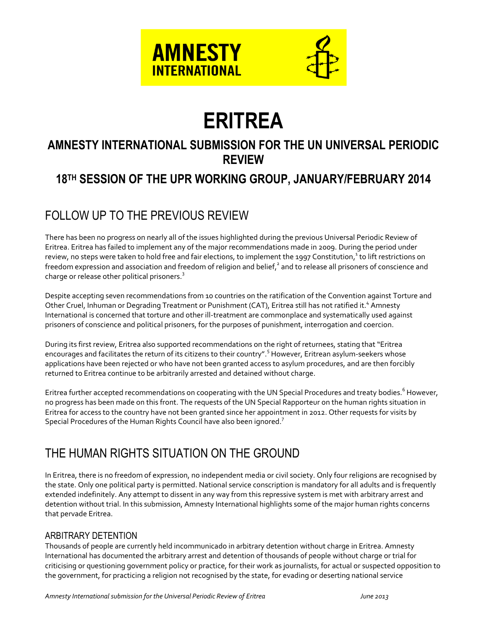



# **ERITREA**

## **AMNESTY INTERNATIONAL SUBMISSION FOR THE UN UNIVERSAL PERIODIC REVIEW**

# **18 TH SESSION OF THE UPR WORKING GROUP, JANUARY/FEBRUARY 2014**

# FOLLOW UP TO THE PREVIOUS REVIEW

There has been no progress on nearly all of the issues highlighted during the previous Universal Periodic Review of Eritrea. Eritrea has failed to implement any of the major recommendations made in 2009. During the period under review, no steps were taken to hold free and fair elections, to implement the 1997 Constitution,<sup>1</sup> to lift restrictions on freedom expression and association and freedom of religion and belief, $^2$  and to release all prisoners of conscience and charge or release other political prisoners.<sup>3</sup>

Despite accepting seven recommendations from 10 countries on the ratification of the Convention against Torture and Other Cruel, Inhuman or Degrading Treatment or Punishment (CAT), Eritrea still has not ratified it.<sup>4</sup> Amnesty International is concerned that torture and other ill-treatment are commonplace and systematically used against prisoners of conscience and political prisoners, for the purposes of punishment, interrogation and coercion.

During its first review, Eritrea also supported recommendations on the right of returnees, stating that "Eritrea encourages and facilitates the return of its citizens to their country".<sup>5</sup> However, Eritrean asylum-seekers whose applications have been rejected or who have not been granted access to asylum procedures, and are then forcibly returned to Eritrea continue to be arbitrarily arrested and detained without charge.

Eritrea further accepted recommendations on cooperating with the UN Special Procedures and treaty bodies.<sup>6</sup> However, no progress has been made on this front. The requests of the UN Special Rapporteur on the human rights situation in Eritrea for access to the country have not been granted since her appointment in 2012. Other requests for visits by Special Procedures of the Human Rights Council have also been ignored.<sup>7</sup>

## THE HUMAN RIGHTS SITUATION ON THE GROUND

In Eritrea, there is no freedom of expression, no independent media or civil society. Only four religions are recognised by the state. Only one political party is permitted. National service conscription is mandatory for all adults and is frequently extended indefinitely. Any attempt to dissent in any way from this repressive system is met with arbitrary arrest and detention without trial. In this submission, Amnesty International highlights some of the major human rights concerns that pervade Eritrea.

## ARBITRARY DETENTION

Thousands of people are currently held incommunicado in arbitrary detention without charge in Eritrea. Amnesty International has documented the arbitrary arrest and detention of thousands of people without charge or trial for criticising or questioning government policy or practice, for their work as journalists, for actual or suspected opposition to the government, for practicing a religion not recognised by the state, for evading or deserting national service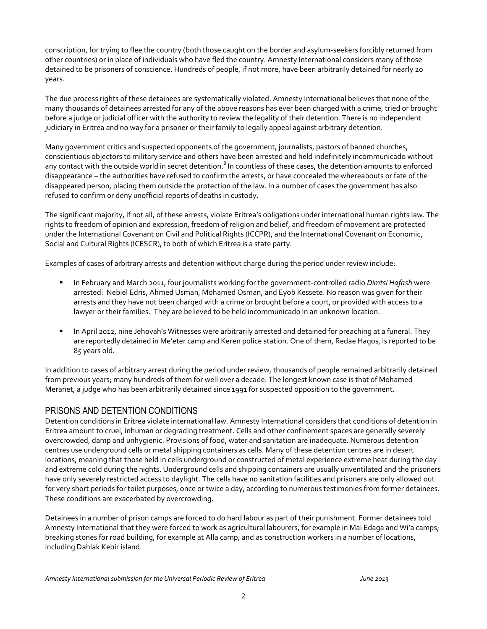conscription, for trying to flee the country (both those caught on the border and asylum-seekers forcibly returned from other countries) or in place of individuals who have fled the country. Amnesty International considers many of those detained to be prisoners of conscience. Hundreds of people, if not more, have been arbitrarily detained for nearly 20 years.

The due process rights of these detainees are systematically violated. Amnesty International believes that none of the many thousands of detainees arrested for any of the above reasons has ever been charged with a crime, tried or brought before a judge or judicial officer with the authority to review the legality of their detention. There is no independent judiciary in Eritrea and no way for a prisoner or their family to legally appeal against arbitrary detention.

Many government critics and suspected opponents of the government, journalists, pastors of banned churches, conscientious objectors to military service and others have been arrested and held indefinitely incommunicado without any contact with the outside world in secret detention.<sup>8</sup> In countless of these cases, the detention amounts to enforced disappearance – the authorities have refused to confirm the arrests, or have concealed the whereabouts or fate of the disappeared person, placing them outside the protection of the law. In a number of cases the government has also refused to confirm or deny unofficial reports of deaths in custody.

The significant majority, if not all, of these arrests, violate Eritrea's obligations under international human rights law. The rights to freedom of opinion and expression, freedom of religion and belief, and freedom of movement are protected under the International Covenant on Civil and Political Rights (ICCPR), and the International Covenant on Economic, Social and Cultural Rights (ICESCR), to both of which Eritrea is a state party.

Examples of cases of arbitrary arrests and detention without charge during the period under review include:

- In February and March 2011, four journalists working for the government-controlled radio *Dimtsi Hafash* were arrested: Nebiel Edris, Ahmed Usman, Mohamed Osman, and Eyob Kessete. No reason was given for their arrests and they have not been charged with a crime or brought before a court, or provided with access to a lawyer or their families. They are believed to be held incommunicado in an unknown location.
- In April 2012, nine Jehovah's Witnesses were arbitrarily arrested and detained for preaching at a funeral. They are reportedly detained in Me'eter camp and Keren police station. One of them, Redae Hagos, is reported to be 85 years old.

In addition to cases of arbitrary arrest during the period under review, thousands of people remained arbitrarily detained from previous years; many hundreds of them for well over a decade. The longest known case is that of Mohamed Meranet, a judge who has been arbitrarily detained since 1991 for suspected opposition to the government.

#### PRISONS AND DETENTION CONDITIONS

Detention conditions in Eritrea violate international law. Amnesty International considers that conditions of detention in Eritrea amount to cruel, inhuman or degrading treatment. Cells and other confinement spaces are generally severely overcrowded, damp and unhygienic. Provisions of food, water and sanitation are inadequate. Numerous detention centres use underground cells or metal shipping containers as cells. Many of these detention centres are in desert locations, meaning that those held in cells underground or constructed of metal experience extreme heat during the day and extreme cold during the nights. Underground cells and shipping containers are usually unventilated and the prisoners have only severely restricted access to daylight. The cells have no sanitation facilities and prisoners are only allowed out for very short periods for toilet purposes, once or twice a day, according to numerous testimonies from former detainees. These conditions are exacerbated by overcrowding.

Detainees in a number of prison camps are forced to do hard labour as part of their punishment. Former detainees told Amnesty International that they were forced to work as agricultural labourers, for example in Mai Edaga and Wi'a camps; breaking stones for road building, for example at Alla camp; and as construction workers in a number of locations, including Dahlak Kebir island.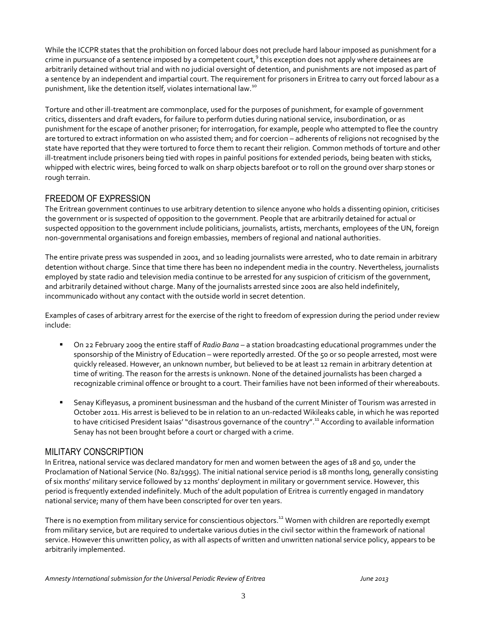While the ICCPR states that the prohibition on forced labour does not preclude hard labour imposed as punishment for a crime in pursuance of a sentence imposed by a competent court,<sup>9</sup> this exception does not apply where detainees are arbitrarily detained without trial and with no judicial oversight of detention, and punishments are not imposed as part of a sentence by an independent and impartial court. The requirement for prisoners in Eritrea to carry out forced labour as a punishment, like the detention itself, violates international law.<sup>10</sup>

Torture and other ill-treatment are commonplace, used for the purposes of punishment, for example of government critics, dissenters and draft evaders, for failure to perform duties during national service, insubordination, or as punishment for the escape of another prisoner; for interrogation, for example, people who attempted to flee the country are tortured to extract information on who assisted them; and for coercion – adherents of religions not recognised by the state have reported that they were tortured to force them to recant their religion. Common methods of torture and other ill-treatment include prisoners being tied with ropes in painful positions for extended periods, being beaten with sticks, whipped with electric wires, being forced to walk on sharp objects barefoot or to roll on the ground over sharp stones or rough terrain.

## FREEDOM OF EXPRESSION

The Eritrean government continues to use arbitrary detention to silence anyone who holds a dissenting opinion, criticises the government or is suspected of opposition to the government. People that are arbitrarily detained for actual or suspected opposition to the government include politicians, journalists, artists, merchants, employees of the UN, foreign non-governmental organisations and foreign embassies, members of regional and national authorities.

The entire private press was suspended in 2001, and 10 leading journalists were arrested, who to date remain in arbitrary detention without charge. Since that time there has been no independent media in the country. Nevertheless, journalists employed by state radio and television media continue to be arrested for any suspicion of criticism of the government, and arbitrarily detained without charge. Many of the journalists arrested since 2001 are also held indefinitely, incommunicado without any contact with the outside world in secret detention.

Examples of cases of arbitrary arrest for the exercise of the right to freedom of expression during the period under review include:

- On 22 February 2009 the entire staff of *Radio Bana* a station broadcasting educational programmes under the sponsorship of the Ministry of Education – were reportedly arrested. Of the 50 or so people arrested, most were quickly released. However, an unknown number, but believed to be at least 12 remain in arbitrary detention at time of writing. The reason for the arrests is unknown. None of the detained journalists has been charged a recognizable criminal offence or brought to a court. Their families have not been informed of their whereabouts.
- Senay Kifleyasus, a prominent businessman and the husband of the current Minister of Tourism was arrested in October 2011. His arrest is believed to be in relation to an un-redacted Wikileaks cable, in which he was reported to have criticised President Isaias' "disastrous governance of the country".<sup>11</sup> According to available information Senay has not been brought before a court or charged with a crime.

#### MILITARY CONSCRIPTION

In Eritrea, national service was declared mandatory for men and women between the ages of 18 and 50, under the Proclamation of National Service (No. 82/1995). The initial national service period is 18 months long, generally consisting of six months' military service followed by 12 months' deployment in military or government service. However, this period is frequently extended indefinitely. Much of the adult population of Eritrea is currently engaged in mandatory national service; many of them have been conscripted for over ten years.

There is no exemption from military service for conscientious objectors.<sup>12</sup> Women with children are reportedly exempt from military service, but are required to undertake various duties in the civil sector within the framework of national service. However this unwritten policy, as with all aspects of written and unwritten national service policy, appears to be arbitrarily implemented.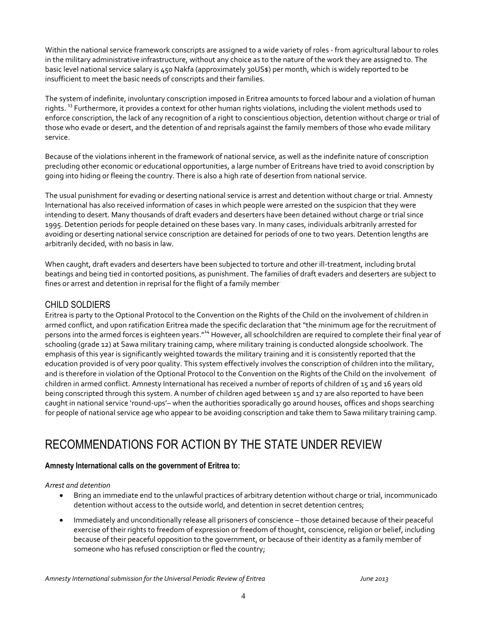Within the national service framework conscripts are assigned to a wide variety of roles - from agricultural labour to roles in the military administrative infrastructure, without any choice as to the nature of the work they are assigned to. The basic level national service salary is 450 Nakfa (approximately 30US\$) per month, which is widely reported to be insufficient to meet the basic needs of conscripts and their families.

The system of indefinite, involuntary conscription imposed in Eritrea amounts to forced labour and a violation of human rights.<sup>33</sup> Furthermore, it provides a context for other human rights violations, including the violent methods used to enforce conscription, the lack of any recognition of a right to conscientious objection, detention without charge or trial of those who evade or desert, and the detention of and reprisals against the family members of those who evade military service.

Because of the violations inherent in the framework of national service, as well as the indefinite nature of conscription precluding other economic or educational opportunities, a large number of Eritreans have tried to avoid conscription by going into hiding or fleeing the country. There is also a high rate of desertion from national service.

The usual punishment for evading or deserting national service is arrest and detention without charge or trial. Amnesty International has also received information of cases in which people were arrested on the suspicion that they were intending to desert. Many thousands of draft evaders and deserters have been detained without charge or trial since 1995. Detention periods for people detained on these bases vary. In many cases, individuals arbitrarily arrested for avoiding or deserting national service conscription are detained for periods of one to two years. Detention lengths are arbitrarily decided, with no basis in law.

When caught, draft evaders and deserters have been subjected to torture and other ill-treatment, including brutal beatings and being tied in contorted positions, as punishment. The families of draft evaders and deserters are subject to fines or arrest and detention in reprisal for the flight of a family member<sup>1</sup>

## CHILD SOLDIERS

Eritrea is party to the Optional Protocol to the Convention on the Rights of the Child on the involvement of children in armed conflict, and upon ratification Eritrea made the specific declaration that "the minimum age for the recruitment of persons into the armed forces is eighteen years."<sup>14</sup> However, all schoolchildren are required to complete their final year of schooling (grade 12) at Sawa military training camp, where military training is conducted alongside schoolwork. The emphasis of this year is significantly weighted towards the military training and it is consistently reported that the education provided is of very poor quality. This system effectively involves the conscription of children into the military, and is therefore in violation of the Optional Protocol to the Convention on the Rights of the Child on the involvement of children in armed conflict. Amnesty International has received a number of reports of children of 15 and 16 years old being conscripted through this system. A number of children aged between 15 and 17 are also reported to have been caught in national service 'round-ups'– when the authorities sporadically go around houses, offices and shops searching for people of national service age who appear to be avoiding conscription and take them to Sawa military training camp.

## RECOMMENDATIONS FOR ACTION BY THE STATE UNDER REVIEW

#### **Amnesty International calls on the government of Eritrea to:**

#### *Arrest and detention*

- Bring an immediate end to the unlawful practices of arbitrary detention without charge or trial, incommunicado detention without access to the outside world, and detention in secret detention centres;
- Immediately and unconditionally release all prisoners of conscience those detained because of their peaceful exercise of their rights to freedom of expression or freedom of thought, conscience, religion or belief, including because of their peaceful opposition to the government, or because of their identity as a family member of someone who has refused conscription or fled the country;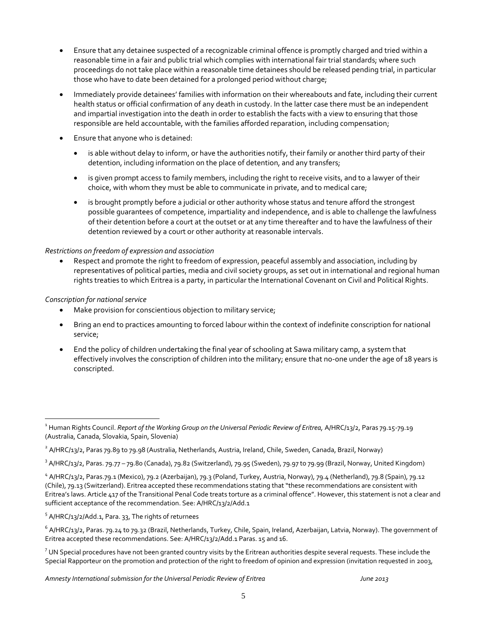- Ensure that any detainee suspected of a recognizable criminal offence is promptly charged and tried within a reasonable time in a fair and public trial which complies with international fair trial standards; where such proceedings do not take place within a reasonable time detainees should be released pending trial, in particular those who have to date been detained for a prolonged period without charge;
- Immediately provide detainees' families with information on their whereabouts and fate, including their current health status or official confirmation of any death in custody. In the latter case there must be an independent and impartial investigation into the death in order to establish the facts with a view to ensuring that those responsible are held accountable, with the families afforded reparation, including compensation;
- Ensure that anyone who is detained:
	- is able without delay to inform, or have the authorities notify, their family or another third party of their detention, including information on the place of detention, and any transfers;
	- is given prompt access to family members, including the right to receive visits, and to a lawyer of their choice, with whom they must be able to communicate in private, and to medical care;
	- is brought promptly before a judicial or other authority whose status and tenure afford the strongest possible guarantees of competence, impartiality and independence, and is able to challenge the lawfulness of their detention before a court at the outset or at any time thereafter and to have the lawfulness of their detention reviewed by a court or other authority at reasonable intervals.

#### *Restrictions on freedom of expression and association*

 Respect and promote the right to freedom of expression, peaceful assembly and association, including by representatives of political parties, media and civil society groups, as set out in international and regional human rights treaties to which Eritrea is a party, in particular the International Covenant on Civil and Political Rights.

#### *Conscription for national service*

 $\overline{a}$ 

- Make provision for conscientious objection to military service;
- Bring an end to practices amounting to forced labour within the context of indefinite conscription for national service;
- End the policy of children undertaking the final year of schooling at Sawa military camp, a system that effectively involves the conscription of children into the military; ensure that no-one under the age of 18 years is conscripted.

<sup>&</sup>lt;sup>1</sup> Human Rights Council. *Report of the Working Group on the Universal Periodic Review of Eritrea, A/HRC/13/2, Paras 79.15-79.19* (Australia, Canada, Slovakia, Spain, Slovenia)

 $^2$  A/HRC/13/2, Paras 79.89 to 79.98 (Australia, Netherlands, Austria, Ireland, Chile, Sweden, Canada, Brazil, Norway)

<sup>&</sup>lt;sup>3</sup> A/HRC/13/2, Paras. 79.77 – 79.80 (Canada), 79.82 (Switzerland), 79.95 (Sweden), 79.97 to 79.99 (Brazil, Norway, United Kingdom)

<sup>&</sup>lt;sup>4</sup> A/HRC/13/2, Paras.79.1 (Mexico), 79.2 (Azerbaijan), 79.3 (Poland, Turkey, Austria, Norway), 79.4 (Netherland), 79.8 (Spain), 79.12 (Chile), 79.13 (Switzerland). Eritrea accepted these recommendations stating that "these recommendations are consistent with Eritrea's laws. Article 417 of the Transitional Penal Code treats torture as a criminal offence". However, this statement is not a clear and sufficient acceptance of the recommendation. See: A/HRC/13/2/Add.1

<sup>&</sup>lt;sup>5</sup> A/HRC/13/2/Add.1, Para. 33, The rights of returnees

 $^6$  A/HRC/13/2, Paras. 79.24 to 79.32 (Brazil, Netherlands, Turkey, Chile, Spain, Ireland, Azerbaijan, Latvia, Norway). The government of Eritrea accepted these recommendations. See: A/HRC/13/2/Add.1 Paras. 15 and 16.

 $7$  UN Special procedures have not been granted country visits by the Eritrean authorities despite several requests. These include the Special Rapporteur on the promotion and protection of the right to freedom of opinion and expression (invitation requested in 2003,